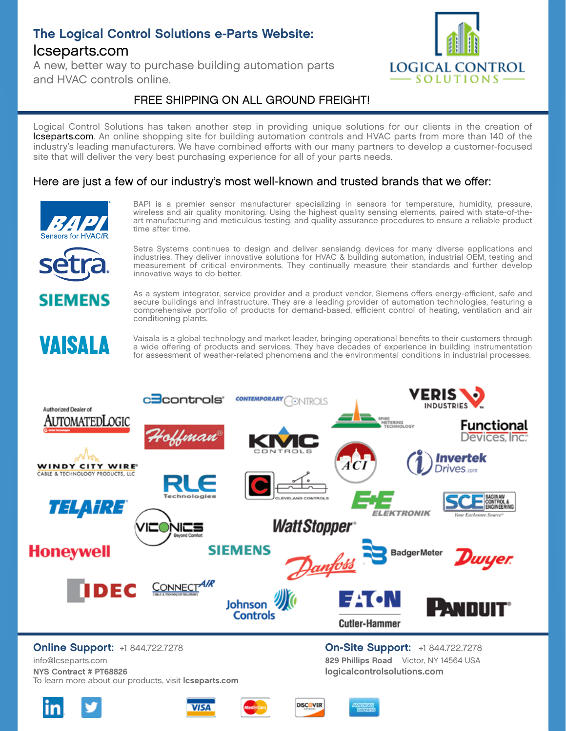# The Logical Control Solutions e-Parts Website: lcseparts.com

A new, better way to purchase building automation parts and HVAC controls online.



### FREE SHIPPING ON ALL GROUND FREIGHT!

Logical Control Solutions has taken another step in providing unique solutions for our clients in the creation of lcseparts.com. An online shopping site for building automation controls and HVAC parts from more than 140 of the industry's leading manufacturers. We have combined efforts with our many partners to develop a customer-focused site that will deliver the very best purchasing experience for all of your parts needs.

#### Here are just a few of our industry's most well-known and trusted brands that we offer:



BAPI is a premier sensor manufacturer specializing in sensors for temperature, humidity, pressure, wireless and air quality monitoring. Using the highest quality sensing elements, paired with state-of-theart manufacturing and meticulous testing, and quality assurance procedures to ensure a reliable product time after time.



EMENS

VAISALA

Setra Systems continues to design and deliver sensiandg devices for many diverse applications and industries. They deliver innovative solutions for HVAC & building automation, industrial OEM, testing and measurement of critical environments. They continually measure their standards and further develop innovative ways to do better.

As a system integrator, service provider and a product vendor, Siemens offers energy-efficient, safe and secure buildings and infrastructure. They are a leading provider of automation technologies, featuring a comprehensive portfolio of products for demand-based, efficient control of heating, ventilation and air conditioning plants.

Vaisala is a global technology and market leader, bringing operational benefits to their customers through a wide offering of products and services. They have decades of experience in building instrumentation for assessment of weather-related phenomena and the environmental conditions in industrial processes.



NYS Contract # PT68826 To learn more about our products, visit lcseparts.com info@lcseparts.com









logicalcontrolsolutions.com